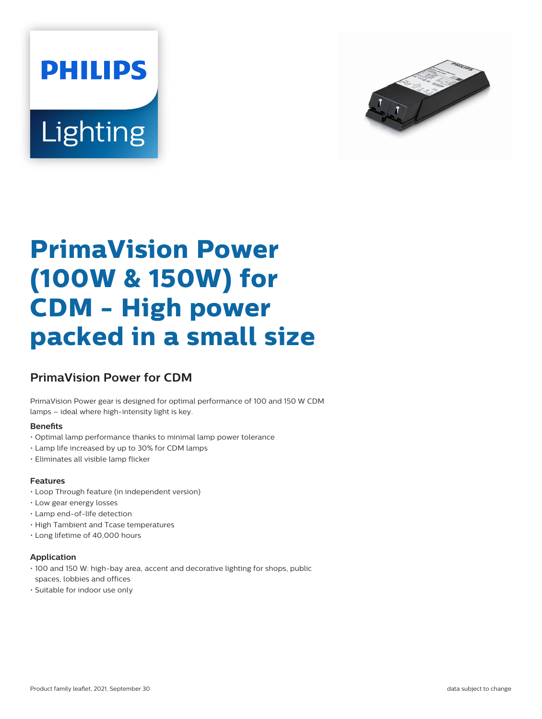



# **PrimaVision Power (100W & 150W) for CDM - High power packed in a small size**

## **PrimaVision Power for CDM**

PrimaVision Power gear is designed for optimal performance of 100 and 150 W CDM lamps – ideal where high-intensity light is key.

#### **Benets**

- Optimal lamp performance thanks to minimal lamp power tolerance
- Lamp life increased by up to 30% for CDM lamps
- Eliminates all visible lamp flicker

#### **Features**

- Loop Through feature (in independent version)
- Low gear energy losses
- Lamp end-of-life detection
- High Tambient and Tcase temperatures
- Long lifetime of 40,000 hours

#### **Application**

- 100 and 150 W: high-bay area, accent and decorative lighting for shops, public spaces, lobbies and offices
- Suitable for indoor use only